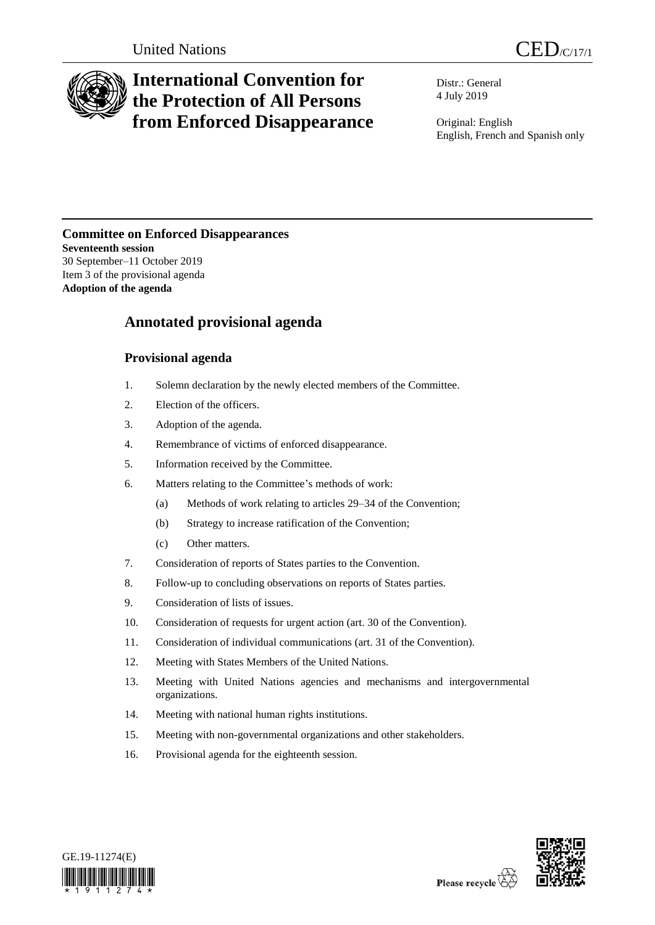

# **International Convention for the Protection of All Persons from Enforced Disappearance**

Distr.: General 4 July 2019

Original: English English, French and Spanish only

### **Committee on Enforced Disappearances Seventeenth session** 30 September–11 October 2019

Item 3 of the provisional agenda **Adoption of the agenda**

## **Annotated provisional agenda**

## **Provisional agenda**

- 1. Solemn declaration by the newly elected members of the Committee.
- 2. Election of the officers.
- 3. Adoption of the agenda.
- 4. Remembrance of victims of enforced disappearance.
- 5. Information received by the Committee.
- 6. Matters relating to the Committee's methods of work:
	- (a) Methods of work relating to articles 29–34 of the Convention;
	- (b) Strategy to increase ratification of the Convention;
	- (c) Other matters.
- 7. Consideration of reports of States parties to the Convention.
- 8. Follow-up to concluding observations on reports of States parties.
- 9. Consideration of lists of issues.
- 10. Consideration of requests for urgent action (art. 30 of the Convention).
- 11. Consideration of individual communications (art. 31 of the Convention).
- 12. Meeting with States Members of the United Nations.
- 13. Meeting with United Nations agencies and mechanisms and intergovernmental organizations.
- 14. Meeting with national human rights institutions.
- 15. Meeting with non-governmental organizations and other stakeholders.
- 16. Provisional agenda for the eighteenth session.



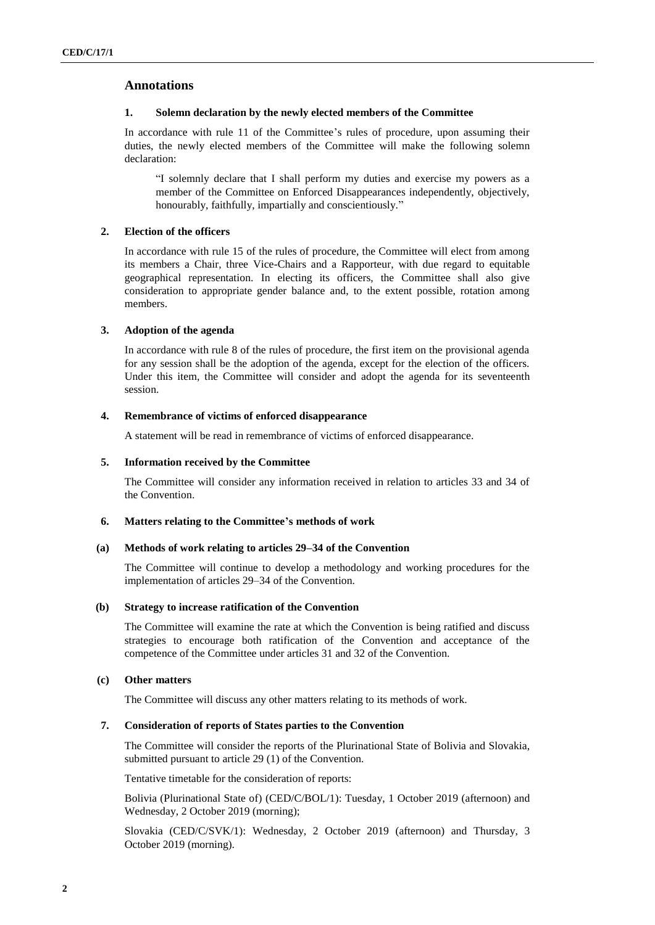#### **Annotations**

#### **1. Solemn declaration by the newly elected members of the Committee**

In accordance with rule 11 of the Committee's rules of procedure, upon assuming their duties, the newly elected members of the Committee will make the following solemn declaration:

"I solemnly declare that I shall perform my duties and exercise my powers as a member of the Committee on Enforced Disappearances independently, objectively, honourably, faithfully, impartially and conscientiously."

#### **2. Election of the officers**

In accordance with rule 15 of the rules of procedure, the Committee will elect from among its members a Chair, three Vice-Chairs and a Rapporteur, with due regard to equitable geographical representation. In electing its officers, the Committee shall also give consideration to appropriate gender balance and, to the extent possible, rotation among members.

#### **3. Adoption of the agenda**

In accordance with rule 8 of the rules of procedure, the first item on the provisional agenda for any session shall be the adoption of the agenda, except for the election of the officers. Under this item, the Committee will consider and adopt the agenda for its seventeenth session.

#### **4. Remembrance of victims of enforced disappearance**

A statement will be read in remembrance of victims of enforced disappearance.

#### **5. Information received by the Committee**

The Committee will consider any information received in relation to articles 33 and 34 of the Convention.

#### **6. Matters relating to the Committee's methods of work**

#### **(a) Methods of work relating to articles 29–34 of the Convention**

The Committee will continue to develop a methodology and working procedures for the implementation of articles 29–34 of the Convention.

#### **(b) Strategy to increase ratification of the Convention**

The Committee will examine the rate at which the Convention is being ratified and discuss strategies to encourage both ratification of the Convention and acceptance of the competence of the Committee under articles 31 and 32 of the Convention.

#### **(c) Other matters**

The Committee will discuss any other matters relating to its methods of work.

#### **7. Consideration of reports of States parties to the Convention**

The Committee will consider the reports of the Plurinational State of Bolivia and Slovakia, submitted pursuant to article 29 (1) of the Convention.

Tentative timetable for the consideration of reports:

Bolivia (Plurinational State of) (CED/C/BOL/1): Tuesday, 1 October 2019 (afternoon) and Wednesday, 2 October 2019 (morning);

Slovakia (CED/C/SVK/1): Wednesday, 2 October 2019 (afternoon) and Thursday, 3 October 2019 (morning).